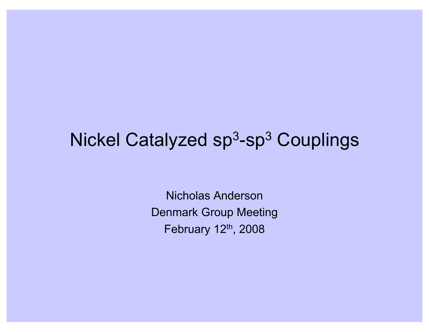# Nickel Catalyzed sp<sup>3</sup>-sp<sup>3</sup> Couplings

Nicholas Anderson Denmark Group Meeting February 12<sup>th</sup>, 2008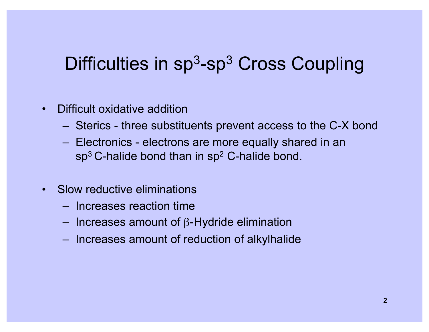# Difficulties in  $sp<sup>3</sup>$ -sp<sup>3</sup> Cross Coupling

- Difficult oxidative addition
	- Sterics three substituents prevent access to the C-X bond
	- Electronics electrons are more equally shared in an  $sp<sup>3</sup>$  C-halide bond than in  $sp<sup>2</sup>$  C-halide bond.
- Slow reductive eliminations
	- Increases reaction time
	- $-$  Increases amount of  $\beta$ -Hydride elimination
	- Increases amount of reduction of alkylhalide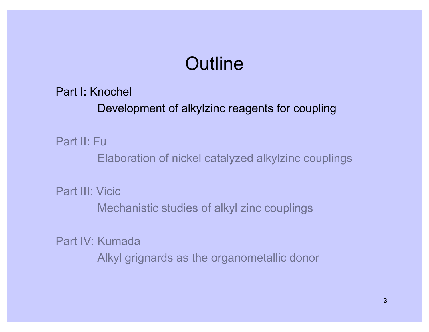# **Outline**

Part I: Knochel

Development of alkylzinc reagents for coupling

Part II: Fu

Elaboration of nickel catalyzed alkylzinc couplings

Part III: Vicic

Mechanistic studies of alkyl zinc couplings

Part IV: Kumada

Alkyl grignards as the organometallic donor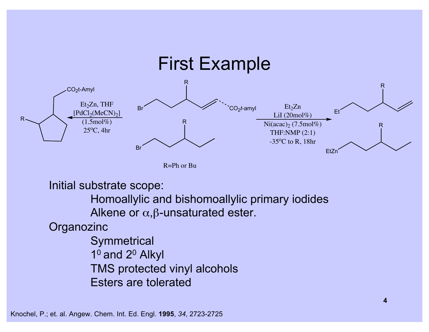

R=Ph or Bu

Initial substrate scope:

Homoallylic and bishomoallylic primary iodides Alkene or  $\alpha$ ,  $\beta$ -unsaturated ester.

**Organozinc** 

**Symmetrical** 10 and 20 Alkyl TMS protected vinyl alcohols Esters are tolerated

Knochel, P.; et. al. Angew. Chem. Int. Ed. Engl. **1995**, *34*, 2723-2725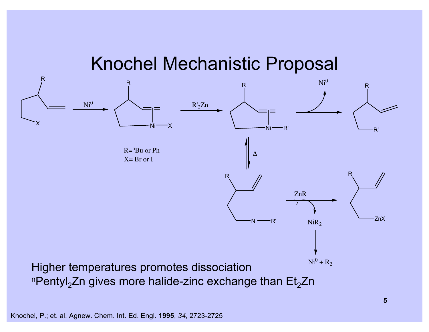#### Knochel Mechanistic Proposal



Knochel, P.; et. al. Agnew. Chem. Int. Ed. Engl. **1995**, *34*, 2723-2725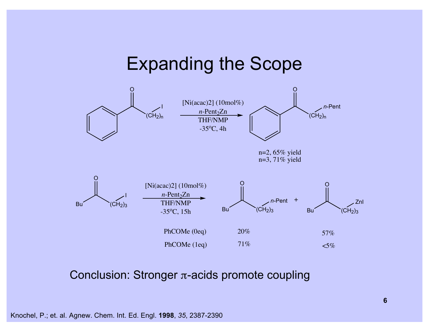#### Expanding the Scope



Conclusion: Stronger  $\pi$ -acids promote coupling

Knochel, P.; et. al. Agnew. Chem. Int. Ed. Engl. **1998**, *35*, 2387-2390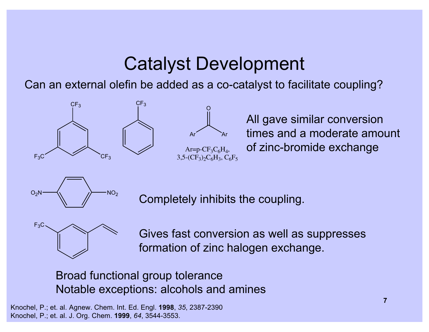# Catalyst Development

Can an external olefin be added as a co-catalyst to facilitate coupling?





All gave similar conversion times and a moderate amount of zinc-bromide exchange



Completely inhibits the coupling.



Gives fast conversion as well as suppresses formation of zinc halogen exchange.

Broad functional group tolerance Notable exceptions: alcohols and amines

Knochel, P.; et. al. Agnew. Chem. Int. Ed. Engl. **1998**, *35*, 2387-2390 Knochel, P.; et. al. J. Org. Chem. **1999**, *64*, 3544-3553.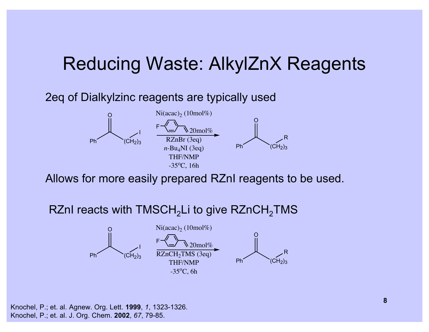## Reducing Waste: AlkylZnX Reagents

#### 2eq of Dialkylzinc reagents are typically used



Allows for more easily prepared RZnI reagents to be used.

#### RZnI reacts with  $TMSCH<sub>2</sub>Li$  to give  $RZnCH<sub>2</sub>TMS$



Knochel, P.; et. al. Agnew. Org. Lett. **1999**, *1*, 1323-1326. Knochel, P.; et. al. J. Org. Chem. **2002**, *67*, 79-85.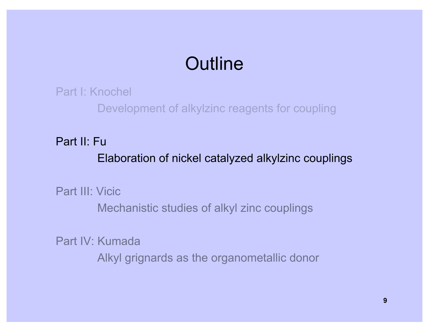# **Outline**

Part I: Knochel

Development of alkylzinc reagents for coupling

Part II: Fu

Elaboration of nickel catalyzed alkylzinc couplings

Part III: Vicic

Mechanistic studies of alkyl zinc couplings

Part IV: Kumada

Alkyl grignards as the organometallic donor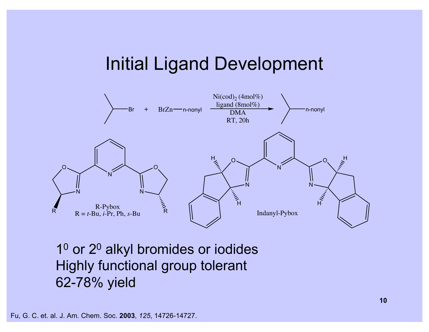### Initial Ligand Development



1<sup>0</sup> or 2<sup>0</sup> alkyl bromides or iodides Highly functional group tolerant 62-78% yield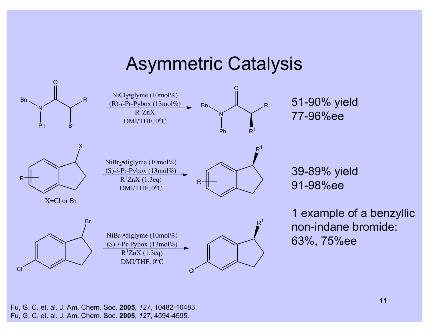#### Asymmetric Catalysis



Fu, G. C. et. al. J. Am. Chem. Soc. **2005**, *127*, 10482-10483. Fu, G. C. et. al. J. Am. Chem. Soc. **2005**, *127*, 4594-4595.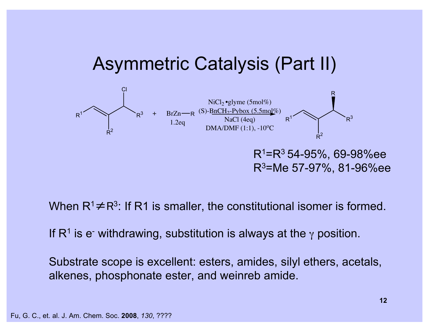### Asymmetric Catalysis (Part II)



When  $R^1 \neq R^3$ : If R1 is smaller, the constitutional isomer is formed.

If R<sup>1</sup> is e-withdrawing, substitution is always at the  $\gamma$  position.

Substrate scope is excellent: esters, amides, silyl ethers, acetals, alkenes, phosphonate ester, and weinreb amide.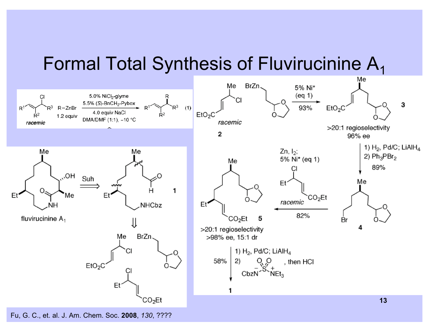# Formal Total Synthesis of Fluvirucinine  $A_1$

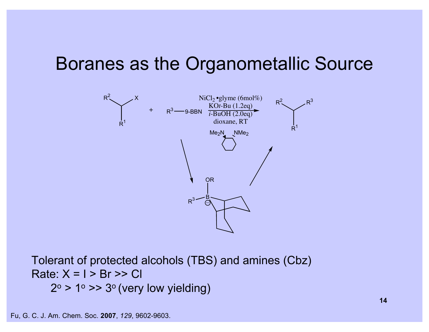### Boranes as the Organometallic Source



Tolerant of protected alcohols (TBS) and amines (Cbz) Rate:  $X = I > Br >> Cl$  $2^\circ > 1^\circ >> 3^\circ$  (very low yielding)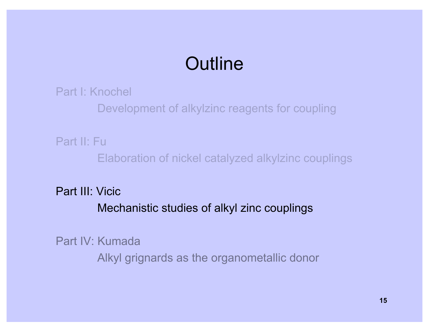# **Outline**

Part I: Knochel

Development of alkylzinc reagents for coupling

Part II: Fu

Elaboration of nickel catalyzed alkylzinc couplings

Part III: Vicic Mechanistic studies of alkyl zinc couplings

Part IV: Kumada

Alkyl grignards as the organometallic donor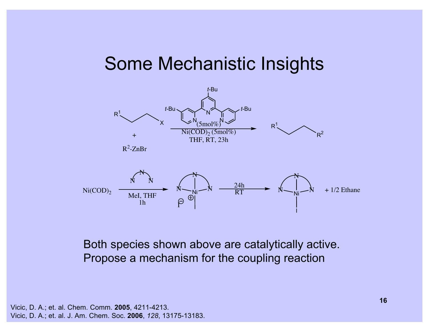#### Some Mechanistic Insights



Both species shown above are catalytically active. Propose a mechanism for the coupling reaction

Vicic, D. A.; et. al. Chem. Comm. **2005**, 4211-4213. Vicic, D. A.; et. al. J. Am. Chem. Soc. **2006**, *128*, 13175-13183.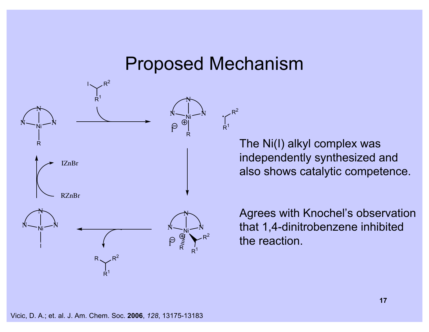#### Proposed Mechanism

 $\int_{R^1}$ 

 $R^2$ 



The Ni(I) alkyl complex was independently synthesized and also shows catalytic competence.

Agrees with Knochel's observation that 1,4-dinitrobenzene inhibited the reaction.

Vicic, D. A.; et. al. J. Am. Chem. Soc. **2006**, *128*, 13175-13183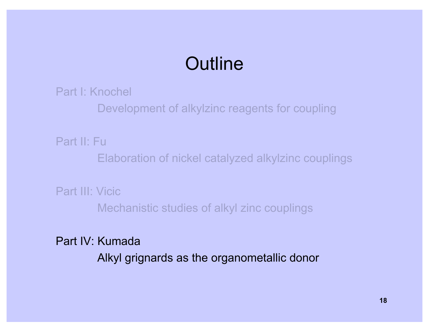# **Outline**

Part I: Knochel

Development of alkylzinc reagents for coupling

Part II: Fu

Elaboration of nickel catalyzed alkylzinc couplings

Part III: Vicic Mechanistic studies of alkyl zinc couplings

Part IV: Kumada

Alkyl grignards as the organometallic donor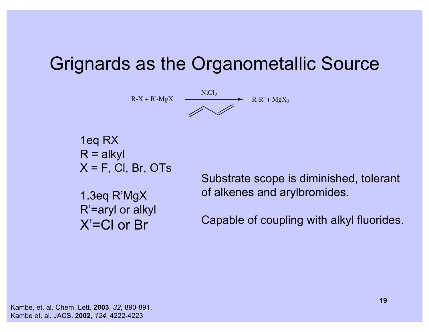# Grignards as the Organometallic Source



1eq RX  $R = a$ lkyl  $X = F$ , CI, Br, OTs

1.3eq R'MgX R'=aryl or alkyl X'=Cl or Br

Substrate scope is diminished, tolerant of alkenes and arylbromides.

Capable of coupling with alkyl fluorides.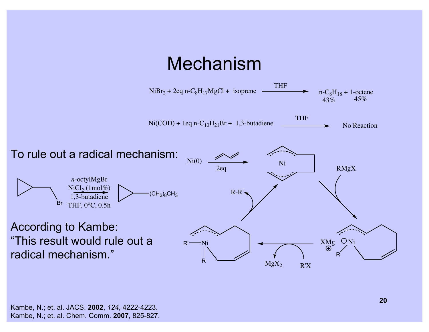# Mechanism

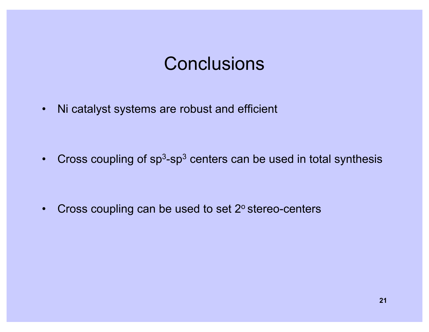### **Conclusions**

• Ni catalyst systems are robust and efficient

• Cross coupling of  $sp^3$ -sp<sup>3</sup> centers can be used in total synthesis

• Cross coupling can be used to set 2° stereo-centers